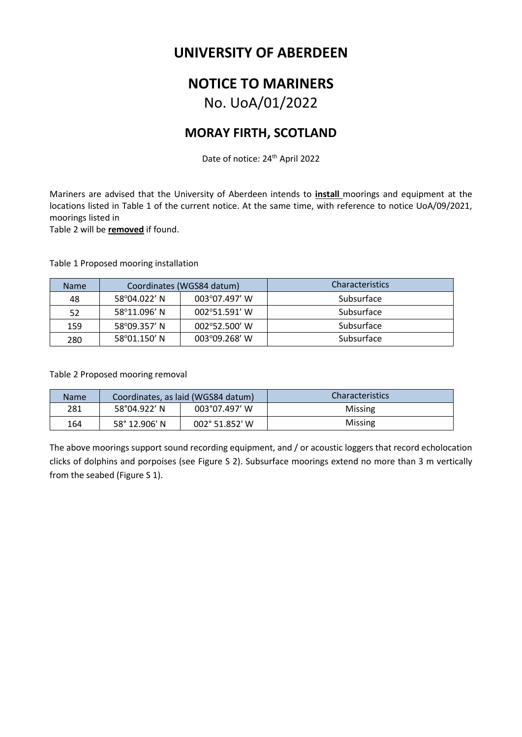## **UNIVERSITY OF ABERDEEN**

# **NOTICE TO MARINERS**

# No. UoA/01/2022

### **MORAY FIRTH, SCOTLAND**

Date of notice: 24<sup>th</sup> April 2022

Mariners are advised that the University of Aberdeen intends to **install** moorings and equipment at the locations listed in [Table](#page-0-0) 1 of the current notice. At the same time, with reference to notice UoA/09/2021, moorings listed in

[Table 2](#page-0-1) will be **removed** if found.

<span id="page-0-0"></span>Table 1 Proposed mooring installation

| <b>Name</b> | Coordinates (WGS84 datum) |               | <b>Characteristics</b> |
|-------------|---------------------------|---------------|------------------------|
| 48          | 58°04.022' N              | 003°07.497' W | Subsurface             |
| 52          | 58°11.096' N              | 002°51.591' W | Subsurface             |
| 159         | 58°09.357' N              | 002°52.500' W | Subsurface             |
| 280         | 58°01.150' N              | 003°09.268' W | Subsurface             |

### <span id="page-0-1"></span>Table 2 Proposed mooring removal

| <b>Name</b> | Coordinates, as laid (WGS84 datum) |                | <b>Characteristics</b> |
|-------------|------------------------------------|----------------|------------------------|
| 281         | 58°04.922' N                       | 003°07.497' W  | <b>Missing</b>         |
| 164         | 58° 12.906' N                      | 002° 51.852' W | Missing                |

The above moorings support sound recording equipment, and / or acoustic loggers that record echolocation clicks of dolphins and porpoises (see [Figure S 2\)](#page-2-0). Subsurface moorings extend no more than 3 m vertically from the seabed [\(Figure S 1\)](#page-2-1).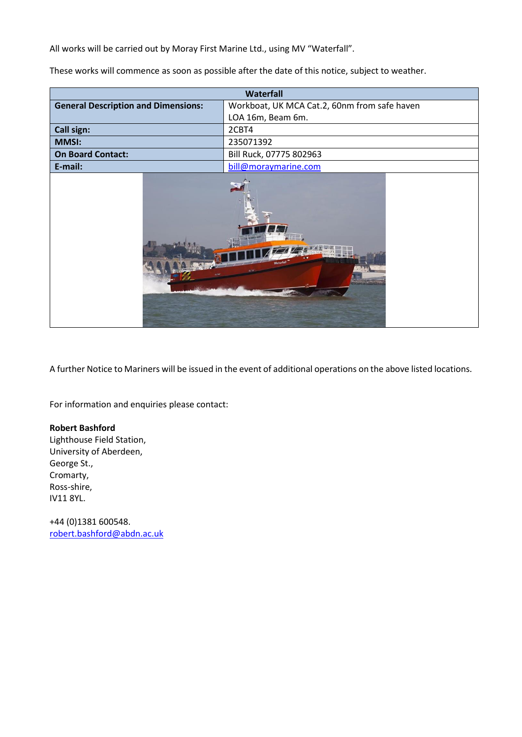All works will be carried out by Moray First Marine Ltd., using MV "Waterfall".

**Waterfall General Description and Dimensions:** Workboat, UK MCA Cat.2, 60nm from safe haven LOA 16m, Beam 6m. **Call sign:** 2CBT4 **MMSI:** 235071392 **On Board Contact: Bill Ruck, 07775 802963 E-mail:** [bill@moraymarine.com](mailto:bill@moraymarine.com)

These works will commence as soon as possible after the date of this notice, subject to weather.

A further Notice to Mariners will be issued in the event of additional operations on the above listed locations.

For information and enquiries please contact:

### **Robert Bashford**

Lighthouse Field Station, University of Aberdeen, George St., Cromarty, Ross-shire, IV11 8YL.

+44 (0)1381 600548. [robert.bashford@abdn.ac.uk](mailto:robert.bashford@abdn.ac.uk)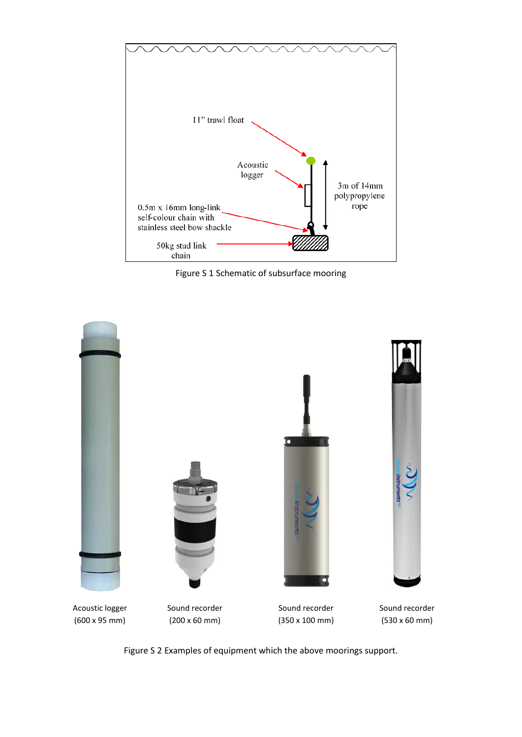

Figure S 1 Schematic of subsurface mooring

<span id="page-2-1"></span><span id="page-2-0"></span>

Figure S 2 Examples of equipment which the above moorings support.